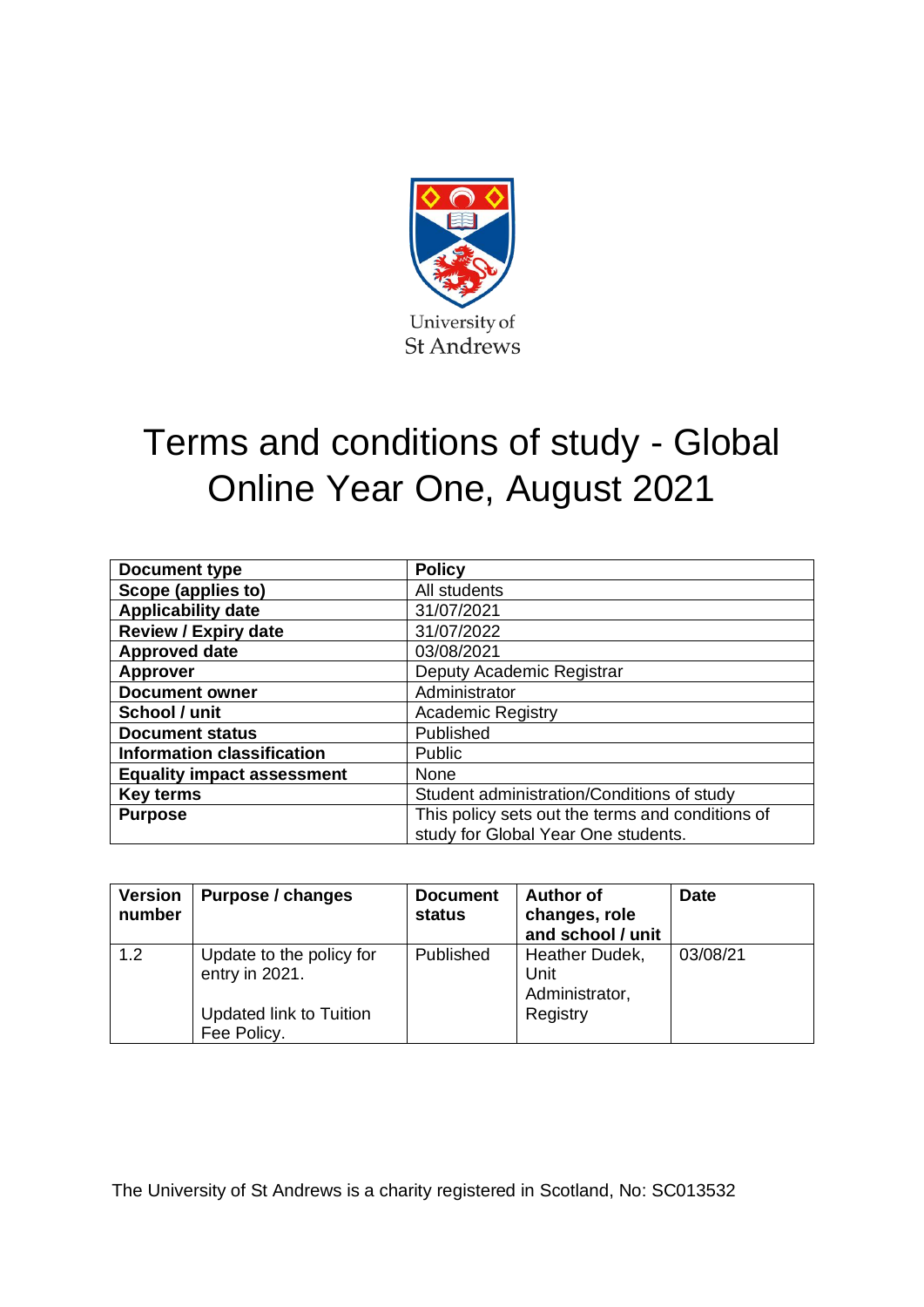

# Terms and conditions of study - Global Online Year One, August 2021

| <b>Document type</b>              | <b>Policy</b>                                    |  |  |
|-----------------------------------|--------------------------------------------------|--|--|
| Scope (applies to)                | All students                                     |  |  |
| <b>Applicability date</b>         | 31/07/2021                                       |  |  |
| <b>Review / Expiry date</b>       | 31/07/2022                                       |  |  |
| <b>Approved date</b>              | 03/08/2021                                       |  |  |
| <b>Approver</b>                   | Deputy Academic Registrar                        |  |  |
| <b>Document owner</b>             | Administrator                                    |  |  |
| School / unit                     | <b>Academic Registry</b>                         |  |  |
| <b>Document status</b>            | Published                                        |  |  |
| <b>Information classification</b> | <b>Public</b>                                    |  |  |
| <b>Equality impact assessment</b> | None                                             |  |  |
| <b>Key terms</b>                  | Student administration/Conditions of study       |  |  |
| <b>Purpose</b>                    | This policy sets out the terms and conditions of |  |  |
|                                   | study for Global Year One students.              |  |  |

| Version<br>number | Purpose / changes                                                                    | <b>Document</b><br>status | <b>Author of</b><br>changes, role<br>and school / unit | <b>Date</b> |
|-------------------|--------------------------------------------------------------------------------------|---------------------------|--------------------------------------------------------|-------------|
| 1.2               | Update to the policy for<br>entry in 2021.<br>Updated link to Tuition<br>Fee Policy. | Published                 | Heather Dudek,<br>Unit<br>Administrator,<br>Registry   | 03/08/21    |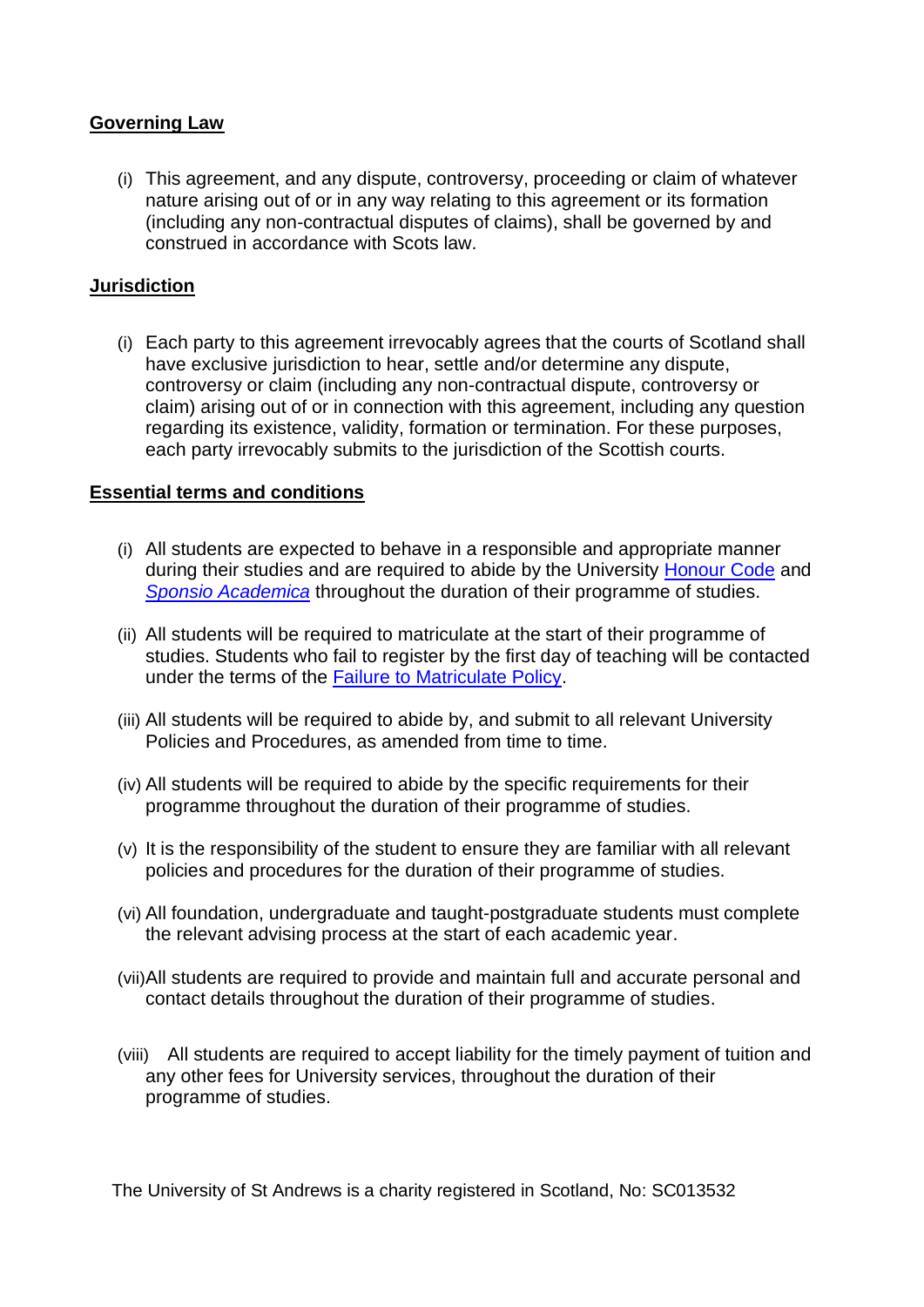## **Governing Law**

(i) This agreement, and any dispute, controversy, proceeding or claim of whatever nature arising out of or in any way relating to this agreement or its formation (including any non-contractual disputes of claims), shall be governed by and construed in accordance with Scots law.

## **Jurisdiction**

(i) Each party to this agreement irrevocably agrees that the courts of Scotland shall have exclusive jurisdiction to hear, settle and/or determine any dispute, controversy or claim (including any non-contractual dispute, controversy or claim) arising out of or in connection with this agreement, including any question regarding its existence, validity, formation or termination. For these purposes, each party irrevocably submits to the jurisdiction of the Scottish courts.

## **Essential terms and conditions**

- (i) All students are expected to behave in a responsible and appropriate manner during their studies and are required to abide by the University [Honour Code](https://www.st-andrews.ac.uk/policy/student-administration-conditions-of-study/honour-code.pdf) and *[Sponsio Academica](https://www.st-andrews.ac.uk/students/rules/conductdiscipline/conduct/)* throughout the duration of their programme of studies.
- (ii) All students will be required to matriculate at the start of their programme of studies. Students who fail to register by the first day of teaching will be contacted under the terms of the [Failure to Matriculate Policy.](https://www.st-andrews.ac.uk/students/rules/matriculation/failuretomatriculatepolicy/)
- (iii) All students will be required to abide by, and submit to all relevant University Policies and Procedures, as amended from time to time.
- (iv) All students will be required to abide by the specific requirements for their programme throughout the duration of their programme of studies.
- (v) It is the responsibility of the student to ensure they are familiar with all relevant policies and procedures for the duration of their programme of studies.
- (vi) All foundation, undergraduate and taught-postgraduate students must complete the relevant advising process at the start of each academic year.
- (vii)All students are required to provide and maintain full and accurate personal and contact details throughout the duration of their programme of studies.
- (viii) All students are required to accept liability for the timely payment of tuition and any other fees for University services, throughout the duration of their programme of studies.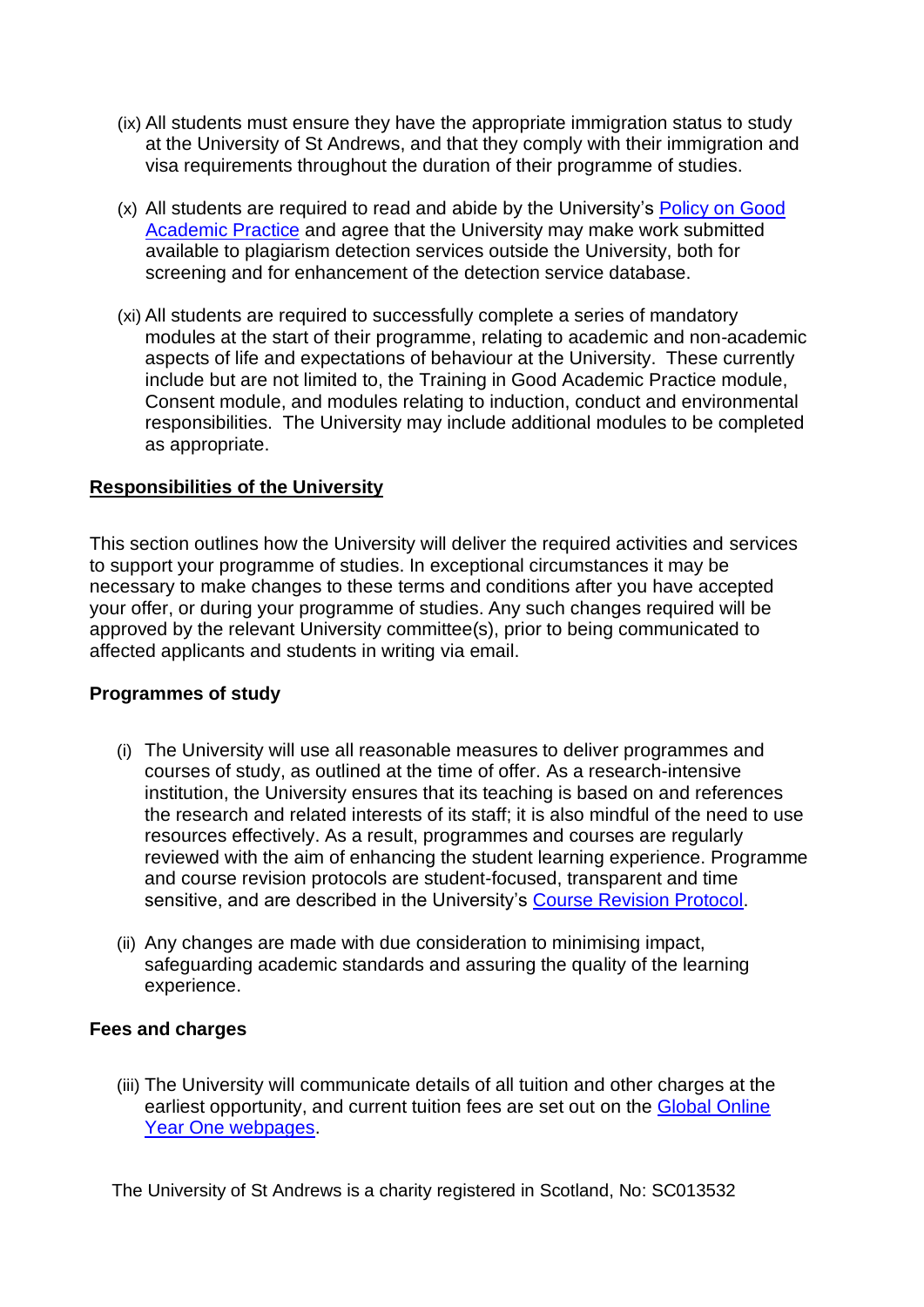- (ix) All students must ensure they have the appropriate immigration status to study at the University of St Andrews, and that they comply with their immigration and visa requirements throughout the duration of their programme of studies.
- (x) All students are required to read and abide by the University's [Policy on Good](https://www.st-andrews.ac.uk/policy/academic-policies-assessment-examination-and-award-good-academic-practice/good-academic-practice.pdf)  [Academic Practice](https://www.st-andrews.ac.uk/policy/academic-policies-assessment-examination-and-award-good-academic-practice/good-academic-practice.pdf) and agree that the University may make work submitted available to plagiarism detection services outside the University, both for screening and for enhancement of the detection service database.
- (xi) All students are required to successfully complete a series of mandatory modules at the start of their programme, relating to academic and non-academic aspects of life and expectations of behaviour at the University. These currently include but are not limited to, the Training in Good Academic Practice module, Consent module, and modules relating to induction, conduct and environmental responsibilities. The University may include additional modules to be completed as appropriate.

# **Responsibilities of the University**

This section outlines how the University will deliver the required activities and services to support your programme of studies. In exceptional circumstances it may be necessary to make changes to these terms and conditions after you have accepted your offer, or during your programme of studies. Any such changes required will be approved by the relevant University committee(s), prior to being communicated to affected applicants and students in writing via email.

## **Programmes of study**

- (i) The University will use all reasonable measures to deliver programmes and courses of study, as outlined at the time of offer. As a research-intensive institution, the University ensures that its teaching is based on and references the research and related interests of its staff; it is also mindful of the need to use resources effectively. As a result, programmes and courses are regularly reviewed with the aim of enhancing the student learning experience. Programme and course revision protocols are student-focused, transparent and time sensitive, and are described in the University's [Course Revision Protocol.](https://www.st-andrews.ac.uk/policy/academic-policies-curriculum-curriculum-at-st-andrews/curriculum-at-st-andrews.pdf)
- (ii) Any changes are made with due consideration to minimising impact, safeguarding academic standards and assuring the quality of the learning experience.

## **Fees and charges**

(iii) The University will communicate details of all tuition and other charges at the earliest opportunity, and current tuition fees are set out on the [Global Online](https://www.st-andrews.ac.uk/subjects/global-online-year-one/#97158)  [Year One webpages.](https://www.st-andrews.ac.uk/subjects/global-online-year-one/#97158)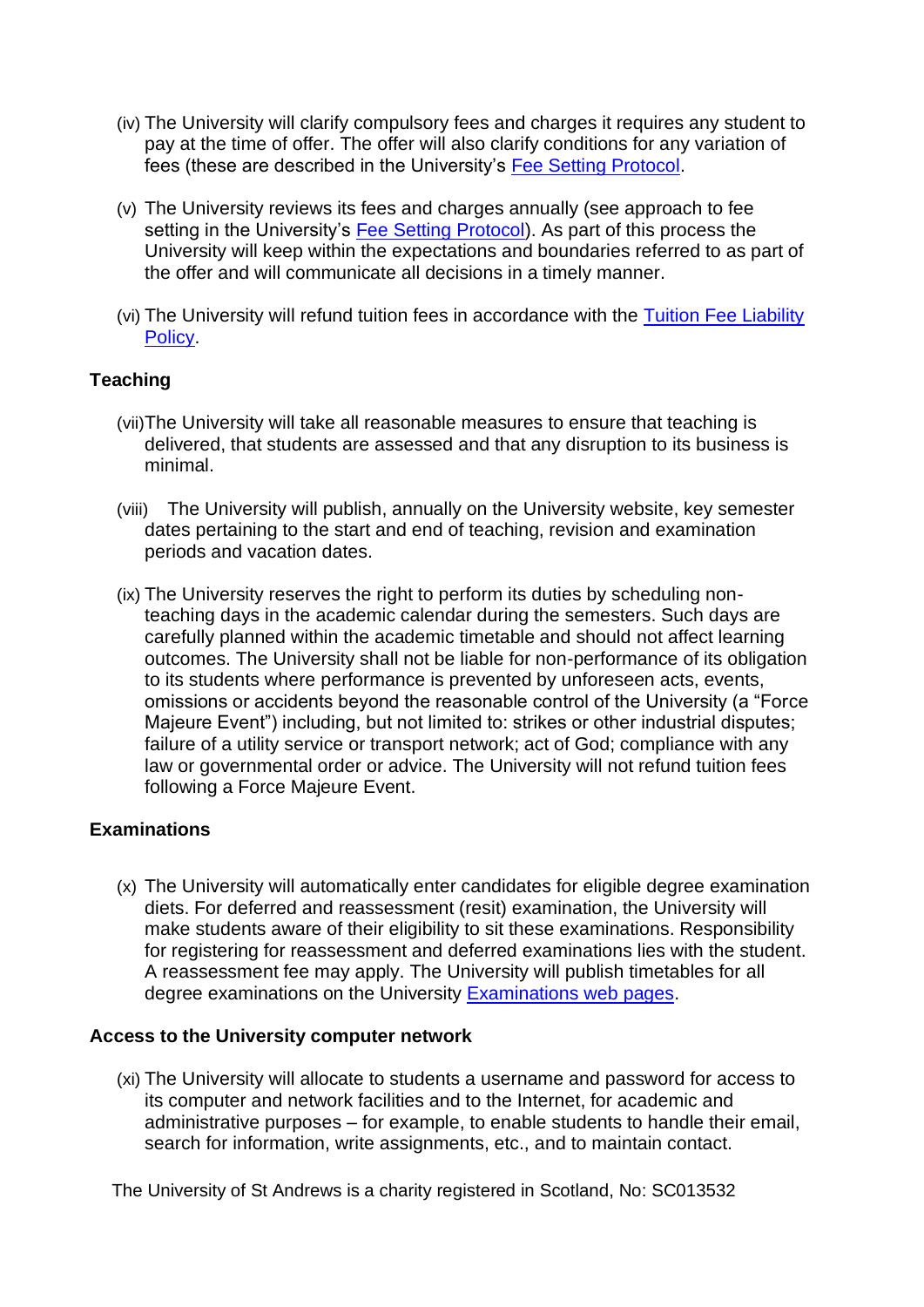- (iv) The University will clarify compulsory fees and charges it requires any student to pay at the time of offer. The offer will also clarify conditions for any variation of fees (these are described in the University's [Fee Setting Protocol.](https://www.st-andrews.ac.uk/policy/student-administration-tuition-fees/fee-setting.pdf)
- (v) The University reviews its fees and charges annually (see approach to fee setting in the University's [Fee Setting Protocol\)](https://www.st-andrews.ac.uk/policy/student-administration-tuition-fees/fee-setting.pdf). As part of this process the University will keep within the expectations and boundaries referred to as part of the offer and will communicate all decisions in a timely manner.
- (vi) The University will refund tuition fees in accordance with the [Tuition Fee Liability](https://www.st-andrews.ac.uk/policy/student-administration-tuition-fees/tuition-fee-liability-policy.pdf)  [Policy.](https://www.st-andrews.ac.uk/policy/student-administration-tuition-fees/tuition-fee-liability-policy.pdf)

## **Teaching**

- (vii)The University will take all reasonable measures to ensure that teaching is delivered, that students are assessed and that any disruption to its business is minimal.
- (viii) The University will publish, annually on the University website, key semester dates pertaining to the start and end of teaching, revision and examination periods and vacation dates.
- (ix) The University reserves the right to perform its duties by scheduling nonteaching days in the academic calendar during the semesters. Such days are carefully planned within the academic timetable and should not affect learning outcomes. The University shall not be liable for non-performance of its obligation to its students where performance is prevented by unforeseen acts, events, omissions or accidents beyond the reasonable control of the University (a "Force Majeure Event") including, but not limited to: strikes or other industrial disputes; failure of a utility service or transport network; act of God; compliance with any law or governmental order or advice. The University will not refund tuition fees following a Force Majeure Event.

## **Examinations**

(x) The University will automatically enter candidates for eligible degree examination diets. For deferred and reassessment (resit) examination, the University will make students aware of their eligibility to sit these examinations. Responsibility for registering for reassessment and deferred examinations lies with the student. A reassessment fee may apply. The University will publish timetables for all degree examinations on the University [Examinations web pages.](https://www.st-andrews.ac.uk/students/advice/academic/exams/)

## **Access to the University computer network**

(xi) The University will allocate to students a username and password for access to its computer and network facilities and to the Internet, for academic and administrative purposes – for example, to enable students to handle their email, search for information, write assignments, etc., and to maintain contact.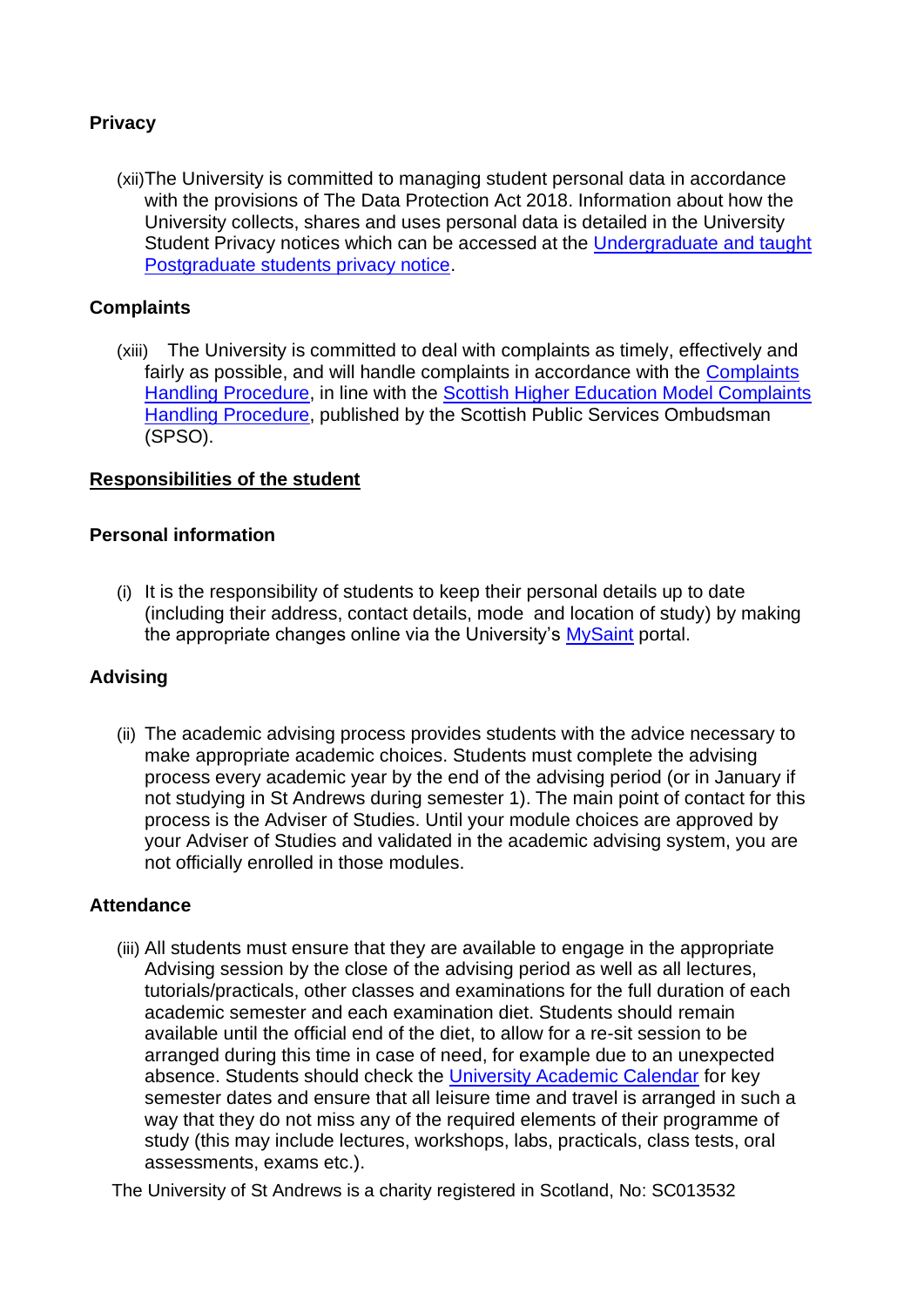# **Privacy**

(xii)The University is committed to managing student personal data in accordance with the provisions of The Data Protection Act 2018. Information about how the University collects, shares and uses personal data is detailed in the University Student Privacy notices which can be accessed at the [Undergraduate and taught](https://www.st-andrews.ac.uk/assets/university/data-protection/ug-pgt-privacy-notice.pdf)  [Postgraduate students privacy notice.](https://www.st-andrews.ac.uk/assets/university/data-protection/ug-pgt-privacy-notice.pdf)

## **Complaints**

(xiii) The University is committed to deal with complaints as timely, effectively and fairly as possible, and will handle complaints in accordance with the Complaints [Handling Procedure,](https://www.st-andrews.ac.uk/terms/complaints/) in line with the [Scottish Higher Education Model Complaints](https://www.spso.org.uk/the-model-complaints-handling-procedures)  [Handling Procedure,](https://www.spso.org.uk/the-model-complaints-handling-procedures) published by the Scottish Public Services Ombudsman (SPSO).

## **Responsibilities of the student**

## **Personal information**

(i) It is the responsibility of students to keep their personal details up to date (including their address, contact details, mode and location of study) by making the appropriate changes online via the University's [MySaint](https://mysaint.st-andrews.ac.uk/uPortal/f/welcome/normal/render.uP) portal.

## **Advising**

(ii) The academic advising process provides students with the advice necessary to make appropriate academic choices. Students must complete the advising process every academic year by the end of the advising period (or in January if not studying in St Andrews during semester 1). The main point of contact for this process is the Adviser of Studies. Until your module choices are approved by your Adviser of Studies and validated in the academic advising system, you are not officially enrolled in those modules.

#### **Attendance**

(iii) All students must ensure that they are available to engage in the appropriate Advising session by the close of the advising period as well as all lectures, tutorials/practicals, other classes and examinations for the full duration of each academic semester and each examination diet. Students should remain available until the official end of the diet, to allow for a re-sit session to be arranged during this time in case of need, for example due to an unexpected absence. Students should check the [University Academic Calendar](https://www.st-andrews.ac.uk/semester-dates/) for key semester dates and ensure that all leisure time and travel is arranged in such a way that they do not miss any of the required elements of their programme of study (this may include lectures, workshops, labs, practicals, class tests, oral assessments, exams etc.).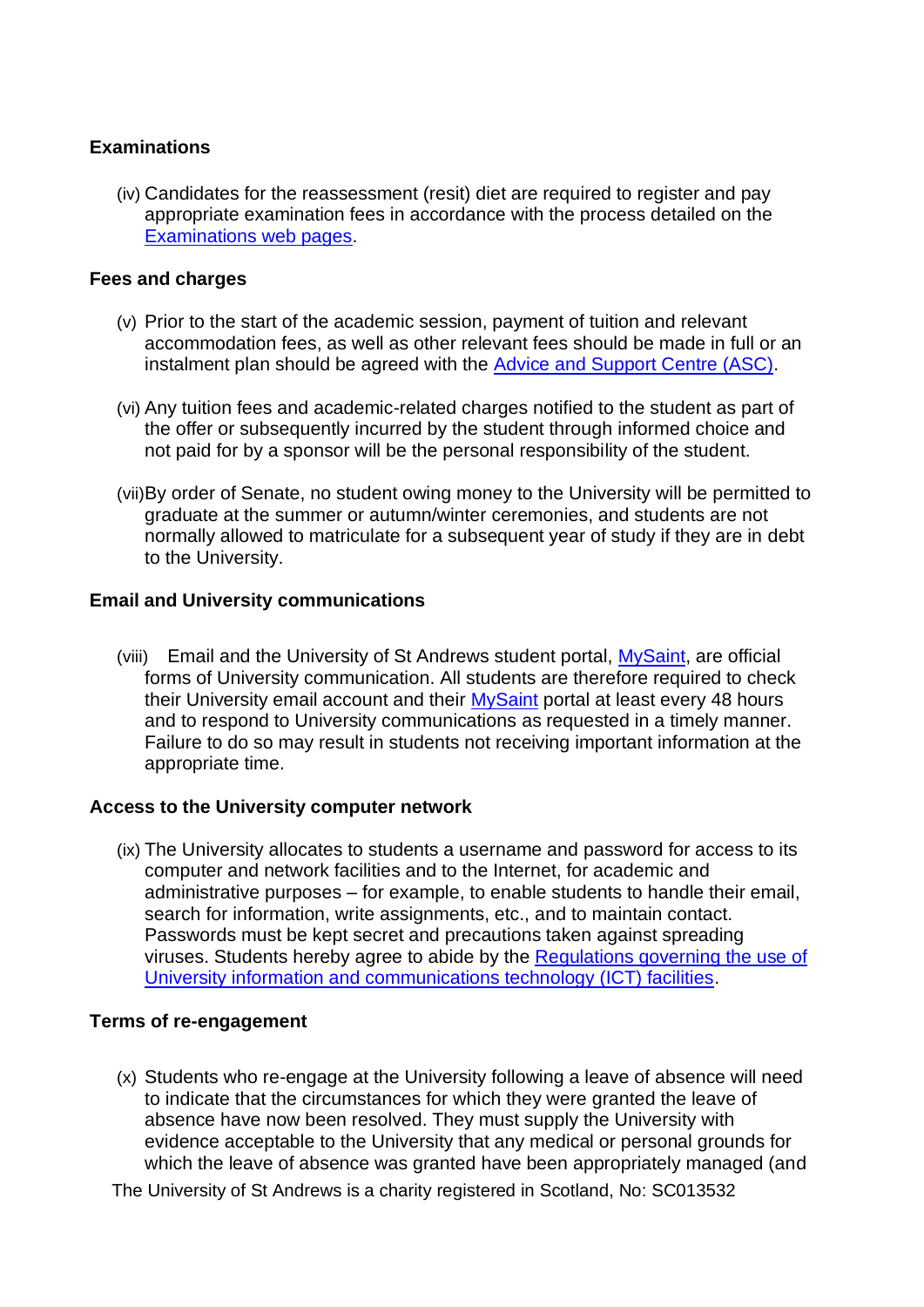## **Examinations**

(iv) Candidates for the reassessment (resit) diet are required to register and pay appropriate examination fees in accordance with the process detailed on the [Examinations web pages.](https://www.st-andrews.ac.uk/exams/resits/)

#### **Fees and charges**

- (v) Prior to the start of the academic session, payment of tuition and relevant accommodation fees, as well as other relevant fees should be made in full or an instalment plan should be agreed with the [Advice and Support Centre \(ASC\).](https://www.st-andrews.ac.uk/students/advice/)
- (vi) Any tuition fees and academic-related charges notified to the student as part of the offer or subsequently incurred by the student through informed choice and not paid for by a sponsor will be the personal responsibility of the student.
- (vii)By order of Senate, no student owing money to the University will be permitted to graduate at the summer or autumn/winter ceremonies, and students are not normally allowed to matriculate for a subsequent year of study if they are in debt to the University.

## **Email and University communications**

(viii) Email and the University of St Andrews student portal, [MySaint,](https://mysaint.st-andrews.ac.uk/uPortal/f/welcome/normal/render.uP) are official forms of University communication. All students are therefore required to check their University email account and their [MySaint](https://mysaint.st-andrews.ac.uk/uPortal/f/welcome/normal/render.uP) portal at least every 48 hours and to respond to University communications as requested in a timely manner. Failure to do so may result in students not receiving important information at the appropriate time.

## **Access to the University computer network**

(ix) The University allocates to students a username and password for access to its computer and network facilities and to the Internet, for academic and administrative purposes – for example, to enable students to handle their email, search for information, write assignments, etc., and to maintain contact. Passwords must be kept secret and precautions taken against spreading viruses. Students hereby agree to abide by the [Regulations governing the use of](https://www.st-andrews.ac.uk/policy/information-technology/ict_regulations.pdf)  [University information and communications technology \(ICT\) facilities.](https://www.st-andrews.ac.uk/policy/information-technology/ict_regulations.pdf)

## **Terms of re-engagement**

(x) Students who re-engage at the University following a leave of absence will need to indicate that the circumstances for which they were granted the leave of absence have now been resolved. They must supply the University with evidence acceptable to the University that any medical or personal grounds for which the leave of absence was granted have been appropriately managed (and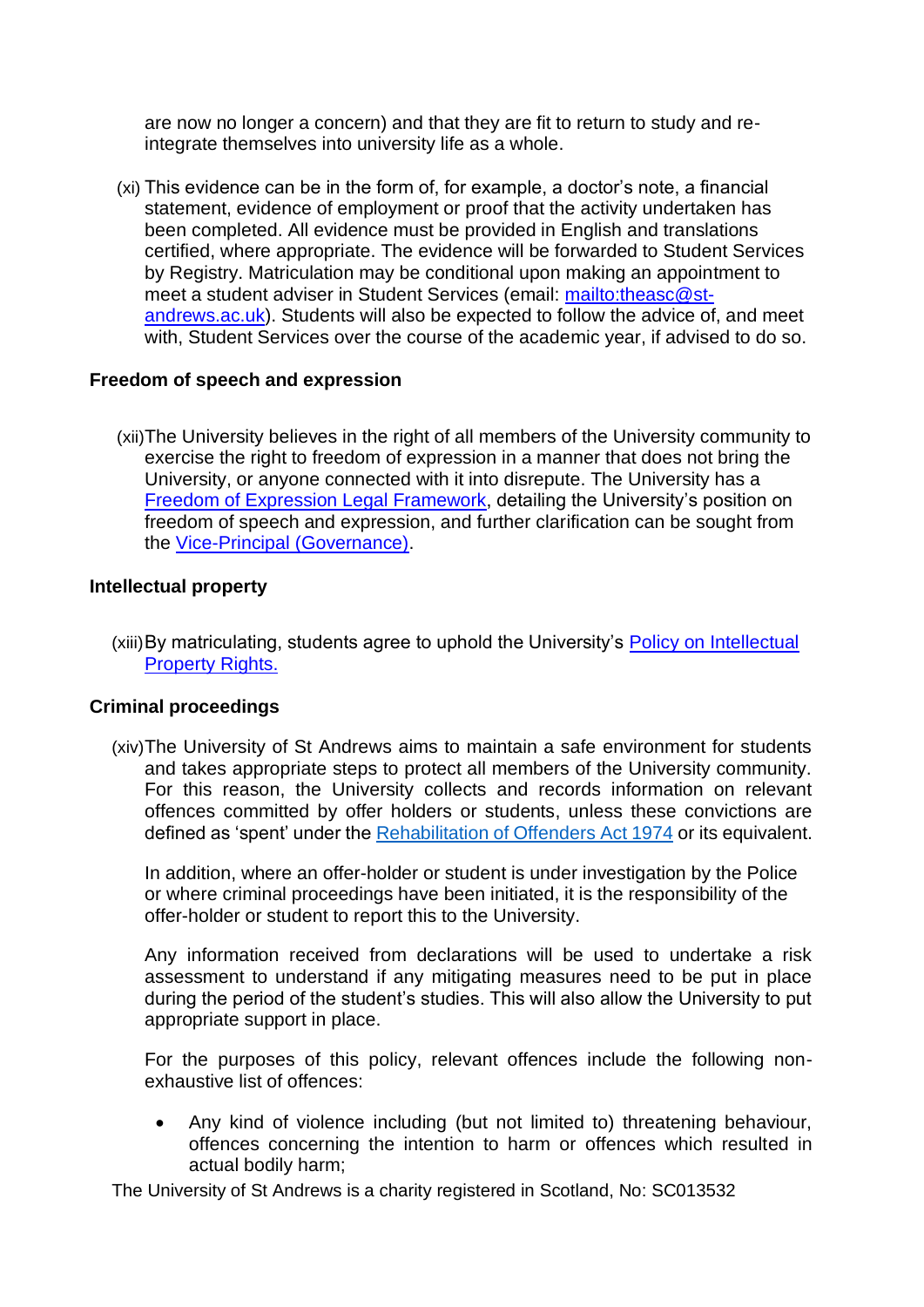are now no longer a concern) and that they are fit to return to study and reintegrate themselves into university life as a whole.

(xi) This evidence can be in the form of, for example, a doctor's note, a financial statement, evidence of employment or proof that the activity undertaken has been completed. All evidence must be provided in English and translations certified, where appropriate. The evidence will be forwarded to Student Services by Registry. Matriculation may be conditional upon making an appointment to meet a student adviser in Student Services (email: [mailto:theasc@st](mailto:theasc@st-andrews.ac.uk)[andrews.ac.uk\)](mailto:theasc@st-andrews.ac.uk). Students will also be expected to follow the advice of, and meet with, Student Services over the course of the academic year, if advised to do so.

## **Freedom of speech and expression**

(xii)The University believes in the right of all members of the University community to exercise the right to freedom of expression in a manner that does not bring the University, or anyone connected with it into disrepute. The University has a [Freedom of Expression Legal Framework,](https://www.st-andrews.ac.uk/hr/edi/equalityact/humanrights/) detailing the University's position on freedom of speech and expression, and further clarification can be sought from the [Vice-Principal \(Governance\).](https://www.st-andrews.ac.uk/about/governance/principals-office/governance/)

#### **Intellectual property**

(xiii)By matriculating, students agree to uphold the University's [Policy on Intellectual](https://www.st-andrews.ac.uk/policy/research-external-work/intellectual-property-policy.pdf)  [Property Rights.](https://www.st-andrews.ac.uk/policy/research-external-work/intellectual-property-policy.pdf)

#### **Criminal proceedings**

(xiv)The University of St Andrews aims to maintain a safe environment for students and takes appropriate steps to protect all members of the University community. For this reason, the University collects and records information on relevant offences committed by offer holders or students, unless these convictions are defined as 'spent' under the [Rehabilitation of Offenders Act 1974](https://www.nacro.org.uk/resettlement-advice-service/support-for-individuals/disclosing-criminal-records/rehabilitation-offenders-act/) or its equivalent.

In addition, where an offer-holder or student is under investigation by the Police or where criminal proceedings have been initiated, it is the responsibility of the offer-holder or student to report this to the University.

Any information received from declarations will be used to undertake a risk assessment to understand if any mitigating measures need to be put in place during the period of the student's studies. This will also allow the University to put appropriate support in place.

For the purposes of this policy, relevant offences include the following nonexhaustive list of offences:

• Any kind of violence including (but not limited to) threatening behaviour, offences concerning the intention to harm or offences which resulted in actual bodily harm;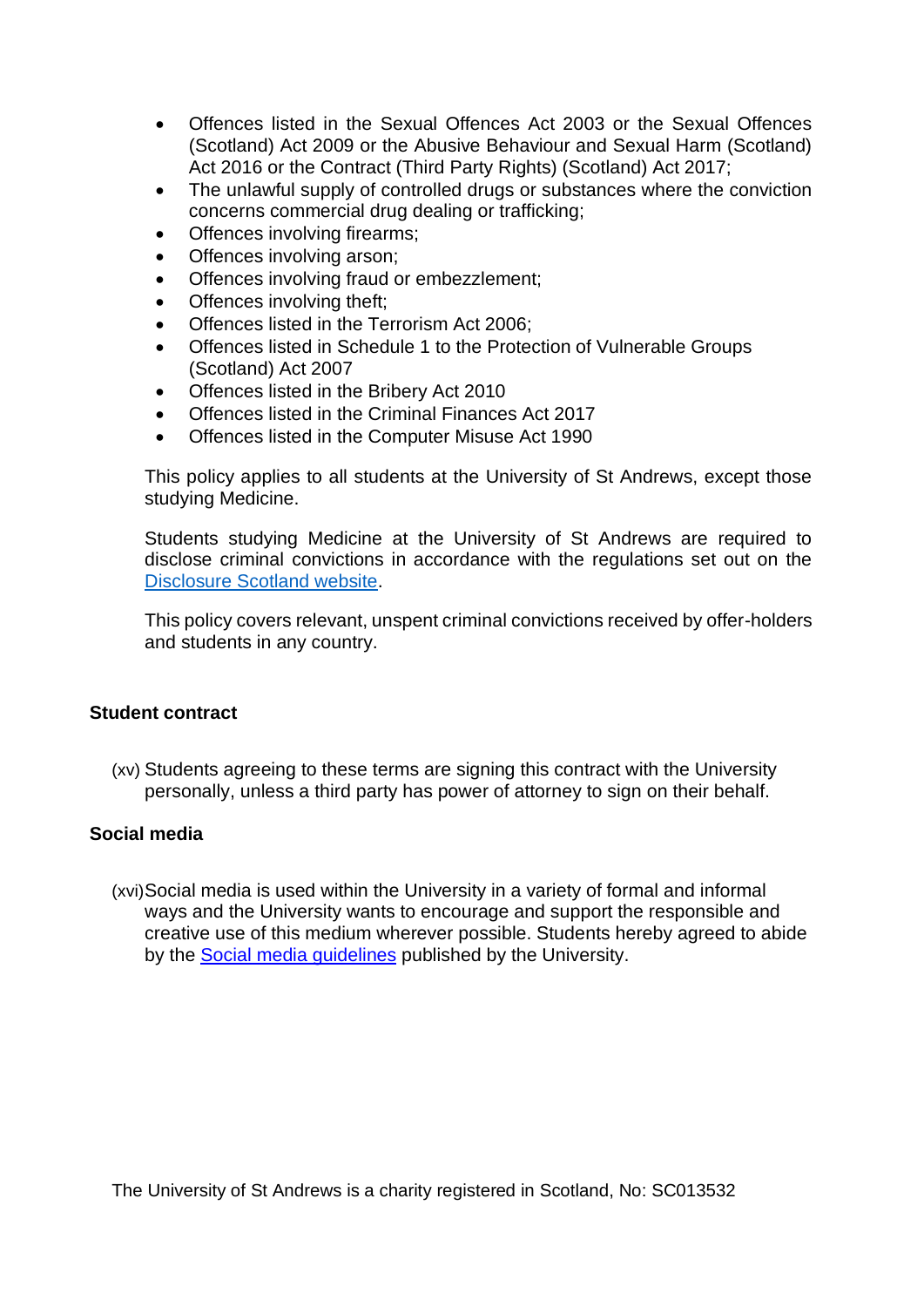- Offences listed in the Sexual Offences Act 2003 or the Sexual Offences (Scotland) Act 2009 or the Abusive Behaviour and Sexual Harm (Scotland) Act 2016 or the Contract (Third Party Rights) (Scotland) Act 2017;
- The unlawful supply of controlled drugs or substances where the conviction concerns commercial drug dealing or trafficking;
- Offences involving firearms;
- Offences involving arson;
- Offences involving fraud or embezzlement;
- Offences involving theft;
- Offences listed in the Terrorism Act 2006;
- Offences listed in Schedule 1 to the Protection of Vulnerable Groups (Scotland) Act 2007
- Offences listed in the Bribery Act 2010
- Offences listed in the Criminal Finances Act 2017
- Offences listed in the Computer Misuse Act 1990

This policy applies to all students at the University of St Andrews, except those studying Medicine.

Students studying Medicine at the University of St Andrews are required to disclose criminal convictions in accordance with the regulations set out on the [Disclosure Scotland website.](https://www.mygov.scot/disclosure-types/?via=http://www.disclosurescotland.co.uk/)

This policy covers relevant, unspent criminal convictions received by offer-holders and students in any country.

## **Student contract**

(xv) Students agreeing to these terms are signing this contract with the University personally, unless a third party has power of attorney to sign on their behalf.

## **Social media**

(xvi)Social media is used within the University in a variety of formal and informal ways and the University wants to encourage and support the responsible and creative use of this medium wherever possible. Students hereby agreed to abide by the [Social media guidelines](https://www.st-andrews.ac.uk/digital-standards/social-media/) published by the University.